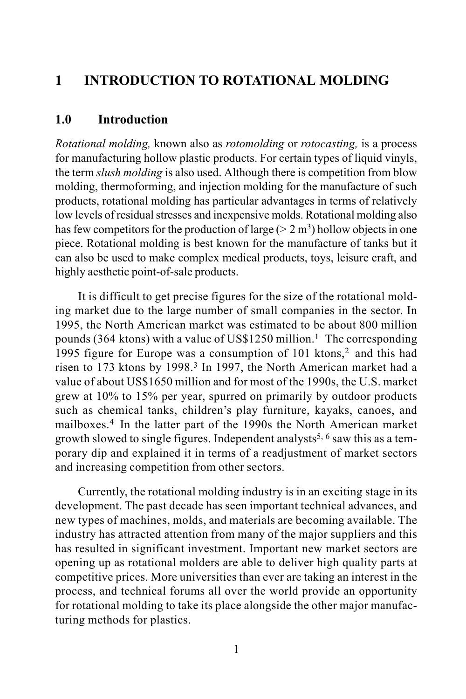## **1 INTRODUCTION TO ROTATIONAL MOLDING**

#### **1.0 Introduction**

*Rotational molding,* known also as *rotomolding* or *rotocasting,* is a process for manufacturing hollow plastic products. For certain types of liquid vinyls, the term *slush molding* is also used. Although there is competition from blow molding, thermoforming, and injection molding for the manufacture of such products, rotational molding has particular advantages in terms of relatively low levels of residual stresses and inexpensive molds. Rotational molding also has few competitors for the production of large ( $> 2$  m<sup>3</sup>) hollow objects in one piece. Rotational molding is best known for the manufacture of tanks but it can also be used to make complex medical products, toys, leisure craft, and highly aesthetic point-of-sale products.

It is difficult to get precise figures for the size of the rotational molding market due to the large number of small companies in the sector. In 1995, the North American market was estimated to be about 800 million pounds (364 ktons) with a value of US\$1250 million.<sup>1</sup> The corresponding 1995 figure for Europe was a consumption of 101 ktons,2 and this had risen to 173 ktons by 1998.<sup>3</sup> In 1997, the North American market had a value of about US\$1650 million and for most of the 1990s, the U.S. market grew at 10% to 15% per year, spurred on primarily by outdoor products such as chemical tanks, children's play furniture, kayaks, canoes, and mailboxes.4 In the latter part of the 1990s the North American market growth slowed to single figures. Independent analysts<sup>5, 6</sup> saw this as a temporary dip and explained it in terms of a readjustment of market sectors and increasing competition from other sectors.

Currently, the rotational molding industry is in an exciting stage in its development. The past decade has seen important technical advances, and new types of machines, molds, and materials are becoming available. The industry has attracted attention from many of the major suppliers and this has resulted in significant investment. Important new market sectors are opening up as rotational molders are able to deliver high quality parts at competitive prices. More universities than ever are taking an interest in the process, and technical forums all over the world provide an opportunity for rotational molding to take its place alongside the other major manufacturing methods for plastics.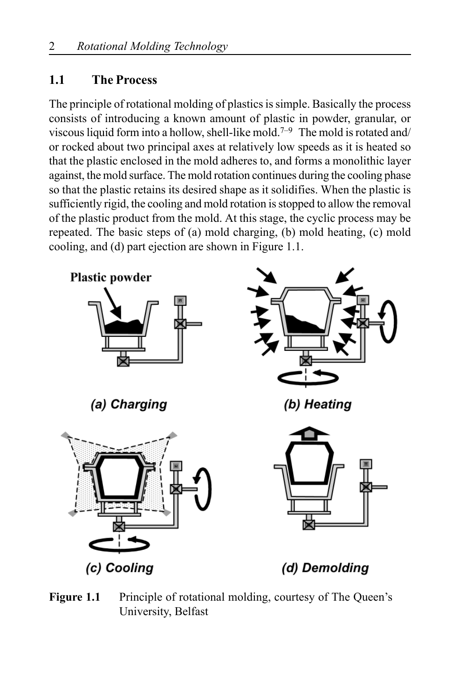# **1.1 The Process**

The principle of rotational molding of plastics is simple. Basically the process consists of introducing a known amount of plastic in powder, granular, or viscous liquid form into a hollow, shell-like mold.<sup>7-9</sup> The mold is rotated and/ or rocked about two principal axes at relatively low speeds as it is heated so that the plastic enclosed in the mold adheres to, and forms a monolithic layer against, the mold surface. The mold rotation continues during the cooling phase so that the plastic retains its desired shape as it solidifies. When the plastic is sufficiently rigid, the cooling and mold rotation is stopped to allow the removal of the plastic product from the mold. At this stage, the cyclic process may be repeated. The basic steps of (a) mold charging, (b) mold heating, (c) mold cooling, and (d) part ejection are shown in Figure 1.1.



(a) Charging



(b) Heating





(d) Demolding

**Figure 1.1** Principle of rotational molding, courtesy of The Queen's University, Belfast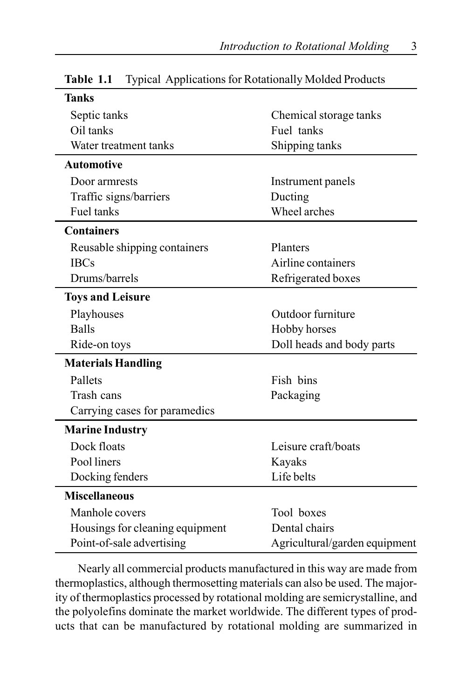| <b>Tanks</b>                    |                               |  |
|---------------------------------|-------------------------------|--|
| Septic tanks                    | Chemical storage tanks        |  |
| Oil tanks                       | Fuel tanks                    |  |
| Water treatment tanks           | Shipping tanks                |  |
| <b>Automotive</b>               |                               |  |
| Door armrests                   | Instrument panels             |  |
| Traffic signs/barriers          | Ducting                       |  |
| Fuel tanks                      | Wheel arches                  |  |
| <b>Containers</b>               |                               |  |
| Reusable shipping containers    | Planters                      |  |
| <b>IBCs</b>                     | Airline containers            |  |
| Drums/barrels                   | Refrigerated boxes            |  |
| <b>Toys and Leisure</b>         |                               |  |
| Playhouses                      | Outdoor furniture             |  |
| <b>Balls</b>                    | Hobby horses                  |  |
| Ride-on toys                    | Doll heads and body parts     |  |
| <b>Materials Handling</b>       |                               |  |
| Pallets                         | Fish bins                     |  |
| Trash cans                      | Packaging                     |  |
| Carrying cases for paramedics   |                               |  |
| <b>Marine Industry</b>          |                               |  |
| Dock floats                     | Leisure craft/boats           |  |
| Pool liners                     | Kayaks                        |  |
| Docking fenders                 | Life belts                    |  |
| <b>Miscellaneous</b>            |                               |  |
| Manhole covers                  | Tool boxes                    |  |
| Housings for cleaning equipment | Dental chairs                 |  |
| Point-of-sale advertising       | Agricultural/garden equipment |  |

**Table 1.1** Typical Applications for Rotationally Molded Products

Nearly all commercial products manufactured in this way are made from thermoplastics, although thermosetting materials can also be used. The majority of thermoplastics processed by rotational molding are semicrystalline, and the polyolefins dominate the market worldwide. The different types of products that can be manufactured by rotational molding are summarized in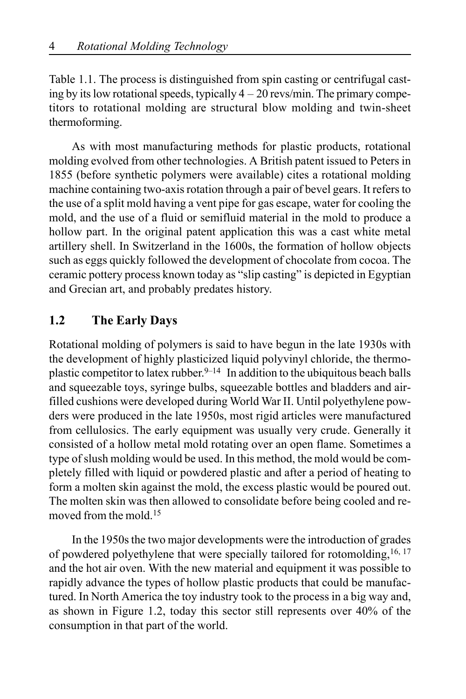Table 1.1. The process is distinguished from spin casting or centrifugal casting by its low rotational speeds, typically  $4 - 20$  revs/min. The primary competitors to rotational molding are structural blow molding and twin-sheet thermoforming.

As with most manufacturing methods for plastic products, rotational molding evolved from other technologies. A British patent issued to Peters in 1855 (before synthetic polymers were available) cites a rotational molding machine containing two-axis rotation through a pair of bevel gears. It refers to the use of a split mold having a vent pipe for gas escape, water for cooling the mold, and the use of a fluid or semifluid material in the mold to produce a hollow part. In the original patent application this was a cast white metal artillery shell. In Switzerland in the 1600s, the formation of hollow objects such as eggs quickly followed the development of chocolate from cocoa. The ceramic pottery process known today as "slip casting" is depicted in Egyptian and Grecian art, and probably predates history.

## **1.2 The Early Days**

Rotational molding of polymers is said to have begun in the late 1930s with the development of highly plasticized liquid polyvinyl chloride, the thermoplastic competitor to latex rubber.  $9-14$  In addition to the ubiquitous beach balls and squeezable toys, syringe bulbs, squeezable bottles and bladders and airfilled cushions were developed during World War II. Until polyethylene powders were produced in the late 1950s, most rigid articles were manufactured from cellulosics. The early equipment was usually very crude. Generally it consisted of a hollow metal mold rotating over an open flame. Sometimes a type of slush molding would be used. In this method, the mold would be completely filled with liquid or powdered plastic and after a period of heating to form a molten skin against the mold, the excess plastic would be poured out. The molten skin was then allowed to consolidate before being cooled and removed from the mold <sup>15</sup>

In the 1950s the two major developments were the introduction of grades of powdered polyethylene that were specially tailored for rotomolding, <sup>16, 17</sup> and the hot air oven. With the new material and equipment it was possible to rapidly advance the types of hollow plastic products that could be manufactured. In North America the toy industry took to the process in a big way and, as shown in Figure 1.2, today this sector still represents over 40% of the consumption in that part of the world.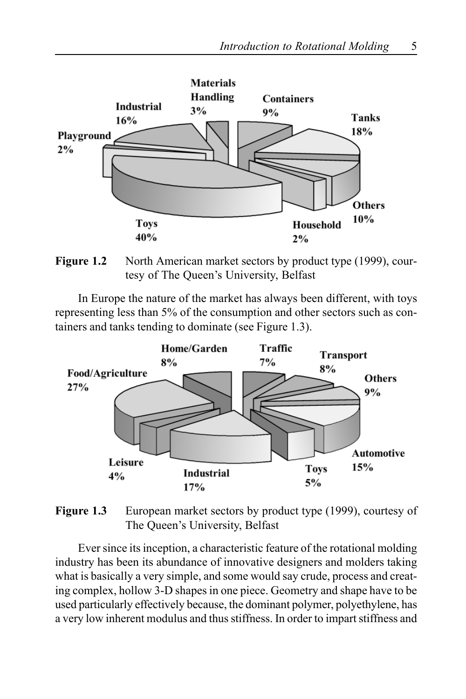

**Figure 1.2** North American market sectors by product type (1999), courtesy of The Queen's University, Belfast

In Europe the nature of the market has always been different, with toys representing less than 5% of the consumption and other sectors such as containers and tanks tending to dominate (see Figure 1.3).





Ever since its inception, a characteristic feature of the rotational molding industry has been its abundance of innovative designers and molders taking what is basically a very simple, and some would say crude, process and creating complex, hollow 3-D shapes in one piece. Geometry and shape have to be used particularly effectively because, the dominant polymer, polyethylene, has a very low inherent modulus and thus stiffness. In order to impart stiffness and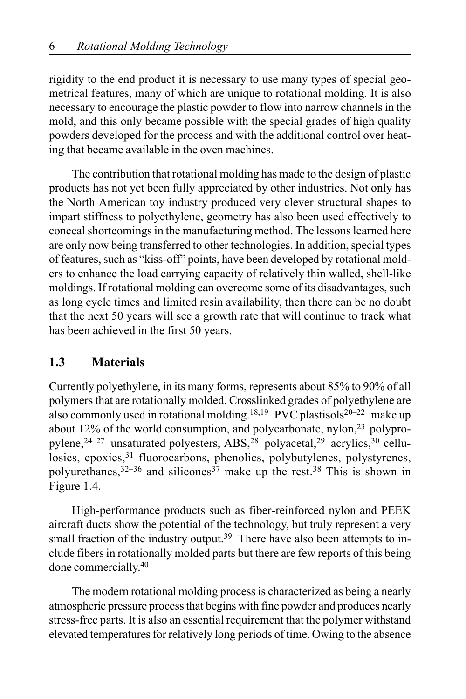rigidity to the end product it is necessary to use many types of special geometrical features, many of which are unique to rotational molding. It is also necessary to encourage the plastic powder to flow into narrow channels in the mold, and this only became possible with the special grades of high quality powders developed for the process and with the additional control over heating that became available in the oven machines.

The contribution that rotational molding has made to the design of plastic products has not yet been fully appreciated by other industries. Not only has the North American toy industry produced very clever structural shapes to impart stiffness to polyethylene, geometry has also been used effectively to conceal shortcomings in the manufacturing method. The lessons learned here are only now being transferred to other technologies. In addition, special types of features, such as "kiss-off" points, have been developed by rotational molders to enhance the load carrying capacity of relatively thin walled, shell-like moldings. If rotational molding can overcome some of its disadvantages, such as long cycle times and limited resin availability, then there can be no doubt that the next 50 years will see a growth rate that will continue to track what has been achieved in the first 50 years.

## **1.3 Materials**

Currently polyethylene, in its many forms, represents about 85% to 90% of all polymers that are rotationally molded. Crosslinked grades of polyethylene are also commonly used in rotational molding.<sup>18,19</sup> PVC plastisols<sup>20–22</sup> make up about 12% of the world consumption, and polycarbonate, nylon, $2<sup>3</sup>$  polypropylene,<sup>24-27</sup> unsaturated polyesters, ABS,<sup>28</sup> polyacetal,<sup>29</sup> acrylics,<sup>30</sup> cellulosics, epoxies,<sup>31</sup> fluorocarbons, phenolics, polybutylenes, polystyrenes, polyurethanes,  $32-36$  and silicones  $37$  make up the rest.<sup>38</sup> This is shown in Figure 1.4.

High-performance products such as fiber-reinforced nylon and PEEK aircraft ducts show the potential of the technology, but truly represent a very small fraction of the industry output.<sup>39</sup> There have also been attempts to include fibers in rotationally molded parts but there are few reports of this being done commercially.40

The modern rotational molding process is characterized as being a nearly atmospheric pressure process that begins with fine powder and produces nearly stress-free parts. It is also an essential requirement that the polymer withstand elevated temperatures for relatively long periods of time. Owing to the absence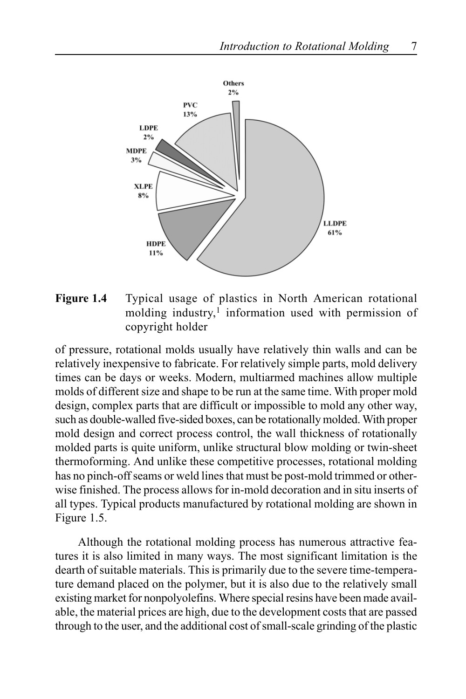

**Figure 1.4** Typical usage of plastics in North American rotational molding industry, $\frac{1}{1}$  information used with permission of copyright holder

of pressure, rotational molds usually have relatively thin walls and can be relatively inexpensive to fabricate. For relatively simple parts, mold delivery times can be days or weeks. Modern, multiarmed machines allow multiple molds of different size and shape to be run at the same time. With proper mold design, complex parts that are difficult or impossible to mold any other way, such as double-walled five-sided boxes, can be rotationally molded. With proper mold design and correct process control, the wall thickness of rotationally molded parts is quite uniform, unlike structural blow molding or twin-sheet thermoforming. And unlike these competitive processes, rotational molding has no pinch-off seams or weld lines that must be post-mold trimmed or otherwise finished. The process allows for in-mold decoration and in situ inserts of all types. Typical products manufactured by rotational molding are shown in Figure 1.5.

Although the rotational molding process has numerous attractive features it is also limited in many ways. The most significant limitation is the dearth of suitable materials. This is primarily due to the severe time-temperature demand placed on the polymer, but it is also due to the relatively small existing market for nonpolyolefins. Where special resins have been made available, the material prices are high, due to the development costs that are passed through to the user, and the additional cost of small-scale grinding of the plastic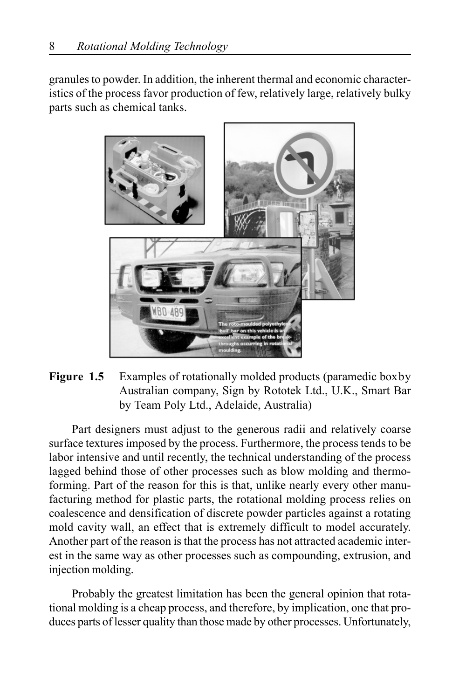granules to powder. In addition, the inherent thermal and economic characteristics of the process favor production of few, relatively large, relatively bulky parts such as chemical tanks.



#### **Figure 1.5** Examples of rotationally molded products (paramedic boxby Australian company, Sign by Rototek Ltd., U.K., Smart Bar by Team Poly Ltd., Adelaide, Australia)

Part designers must adjust to the generous radii and relatively coarse surface textures imposed by the process. Furthermore, the process tends to be labor intensive and until recently, the technical understanding of the process lagged behind those of other processes such as blow molding and thermoforming. Part of the reason for this is that, unlike nearly every other manufacturing method for plastic parts, the rotational molding process relies on coalescence and densification of discrete powder particles against a rotating mold cavity wall, an effect that is extremely difficult to model accurately. Another part of the reason is that the process has not attracted academic interest in the same way as other processes such as compounding, extrusion, and injection molding.

Probably the greatest limitation has been the general opinion that rotational molding is a cheap process, and therefore, by implication, one that produces parts of lesser quality than those made by other processes. Unfortunately,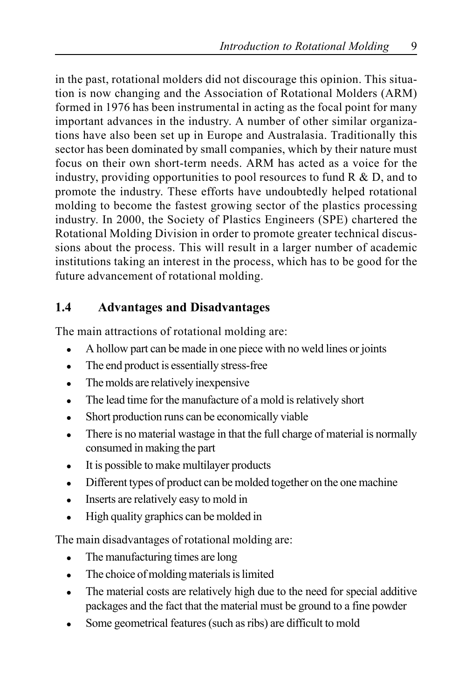in the past, rotational molders did not discourage this opinion. This situation is now changing and the Association of Rotational Molders (ARM) formed in 1976 has been instrumental in acting as the focal point for many important advances in the industry. A number of other similar organizations have also been set up in Europe and Australasia. Traditionally this sector has been dominated by small companies, which by their nature must focus on their own short-term needs. ARM has acted as a voice for the industry, providing opportunities to pool resources to fund  $R \& D$ , and to promote the industry. These efforts have undoubtedly helped rotational molding to become the fastest growing sector of the plastics processing industry. In 2000, the Society of Plastics Engineers (SPE) chartered the Rotational Molding Division in order to promote greater technical discussions about the process. This will result in a larger number of academic institutions taking an interest in the process, which has to be good for the future advancement of rotational molding.

#### **1.4 Advantages and Disadvantages**

The main attractions of rotational molding are:

- ! A hollow part can be made in one piece with no weld lines or joints
- The end product is essentially stress-free
- The molds are relatively inexpensive
- The lead time for the manufacture of a mold is relatively short
- Short production runs can be economically viable
- There is no material wastage in that the full charge of material is normally consumed in making the part
- It is possible to make multilayer products
- Different types of product can be molded together on the one machine
- Inserts are relatively easy to mold in
- High quality graphics can be molded in

The main disadvantages of rotational molding are:

- The manufacturing times are long
- The choice of molding materials is limited
- The material costs are relatively high due to the need for special additive packages and the fact that the material must be ground to a fine powder
- Some geometrical features (such as ribs) are difficult to mold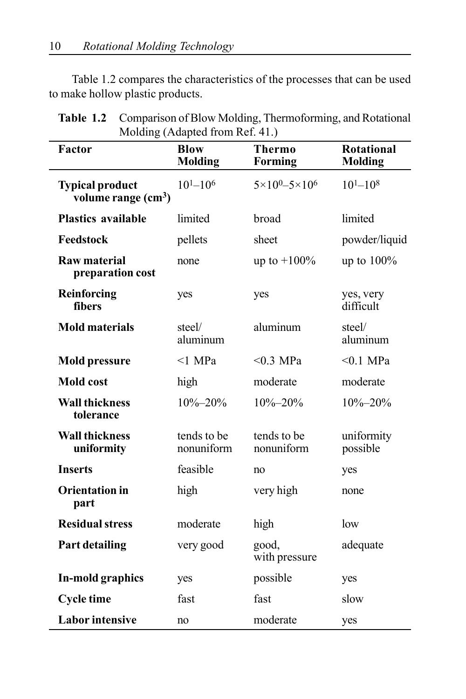Table 1.2 compares the characteristics of the processes that can be used to make hollow plastic products.

| <b>Factor</b>                                  | <b>Blow</b><br><b>Molding</b> | <b>Thermo</b><br><b>Forming</b>     | <b>Rotational</b><br><b>Molding</b> |
|------------------------------------------------|-------------------------------|-------------------------------------|-------------------------------------|
| <b>Typical product</b><br>volume range $(cm3)$ | $10^{1} - 10^{6}$             | $5 \times 10^{0} - 5 \times 10^{6}$ | $10^{1} - 10^{8}$                   |
| <b>Plastics available</b>                      | limited                       | broad                               | limited                             |
| Feedstock                                      | pellets                       | sheet                               | powder/liquid                       |
| <b>Raw material</b><br>preparation cost        | none                          | up to $+100%$                       | up to $100\%$                       |
| Reinforcing<br>fibers                          | yes                           | yes                                 | yes, very<br>difficult              |
| <b>Mold materials</b>                          | steel/<br>aluminum            | aluminum                            | steel/<br>aluminum                  |
| <b>Mold pressure</b>                           | $<$ 1 MPa                     | $< 0.3$ MPa                         | $< 0.1$ MPa                         |
| <b>Mold cost</b>                               | high                          | moderate                            | moderate                            |
| <b>Wall thickness</b><br>tolerance             | $10\% - 20\%$                 | $10\% - 20\%$                       | $10\% - 20\%$                       |
| <b>Wall thickness</b><br>uniformity            | tends to be<br>nonuniform     | tends to be<br>nonuniform           | uniformity<br>possible              |
| <b>Inserts</b>                                 | feasible                      | no                                  | yes                                 |
| <b>Orientation</b> in<br>part                  | high                          | very high                           | none                                |
| <b>Residual stress</b>                         | moderate                      | high                                | low                                 |
| <b>Part detailing</b>                          | very good                     | good,<br>with pressure              | adequate                            |
| In-mold graphics                               | yes                           | possible                            | yes                                 |
| <b>Cycle time</b>                              | fast                          | fast                                | slow                                |
| <b>Labor</b> intensive                         | no                            | moderate                            | yes                                 |

**Table 1.2** Comparison of Blow Molding, Thermoforming, and Rotational Molding (Adapted from Ref. 41.)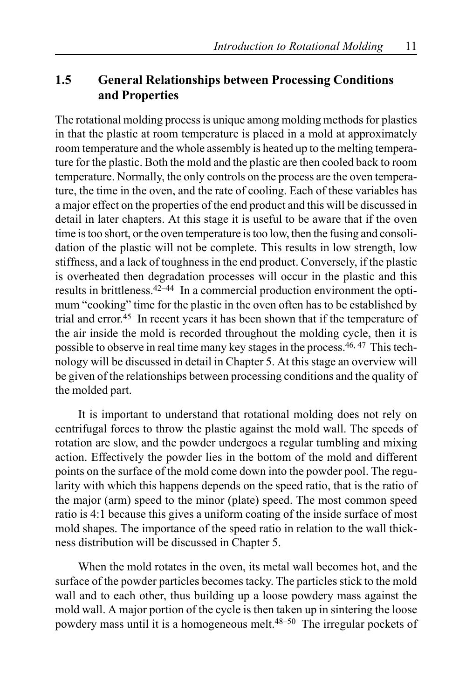#### **1.5 General Relationships between Processing Conditions and Properties**

The rotational molding process is unique among molding methods for plastics in that the plastic at room temperature is placed in a mold at approximately room temperature and the whole assembly is heated up to the melting temperature for the plastic. Both the mold and the plastic are then cooled back to room temperature. Normally, the only controls on the process are the oven temperature, the time in the oven, and the rate of cooling. Each of these variables has a major effect on the properties of the end product and this will be discussed in detail in later chapters. At this stage it is useful to be aware that if the oven time is too short, or the oven temperature is too low, then the fusing and consolidation of the plastic will not be complete. This results in low strength, low stiffness, and a lack of toughness in the end product. Conversely, if the plastic is overheated then degradation processes will occur in the plastic and this results in brittleness. $42-44$  In a commercial production environment the optimum "cooking" time for the plastic in the oven often has to be established by trial and error.<sup>45</sup> In recent years it has been shown that if the temperature of the air inside the mold is recorded throughout the molding cycle, then it is possible to observe in real time many key stages in the process.46, 47 This technology will be discussed in detail in Chapter 5. At this stage an overview will be given of the relationships between processing conditions and the quality of the molded part.

It is important to understand that rotational molding does not rely on centrifugal forces to throw the plastic against the mold wall. The speeds of rotation are slow, and the powder undergoes a regular tumbling and mixing action. Effectively the powder lies in the bottom of the mold and different points on the surface of the mold come down into the powder pool. The regularity with which this happens depends on the speed ratio, that is the ratio of the major (arm) speed to the minor (plate) speed. The most common speed ratio is 4:1 because this gives a uniform coating of the inside surface of most mold shapes. The importance of the speed ratio in relation to the wall thickness distribution will be discussed in Chapter 5.

When the mold rotates in the oven, its metal wall becomes hot, and the surface of the powder particles becomes tacky. The particles stick to the mold wall and to each other, thus building up a loose powdery mass against the mold wall. A major portion of the cycle is then taken up in sintering the loose powdery mass until it is a homogeneous melt. $48-50$  The irregular pockets of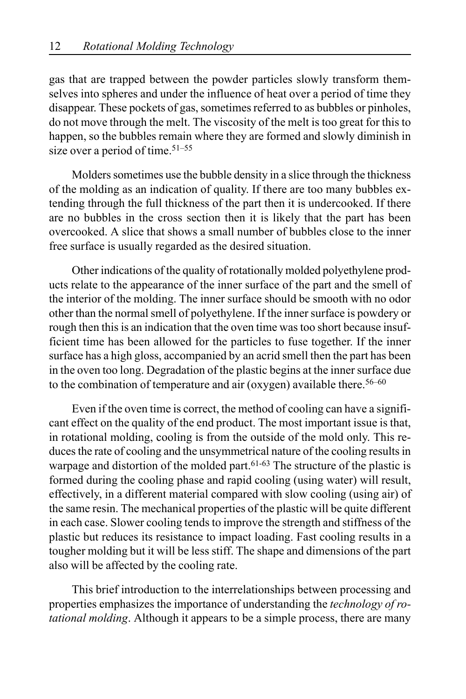gas that are trapped between the powder particles slowly transform themselves into spheres and under the influence of heat over a period of time they disappear. These pockets of gas, sometimes referred to as bubbles or pinholes, do not move through the melt. The viscosity of the melt is too great for this to happen, so the bubbles remain where they are formed and slowly diminish in size over a period of time. $51-55$ 

Molders sometimes use the bubble density in a slice through the thickness of the molding as an indication of quality. If there are too many bubbles extending through the full thickness of the part then it is undercooked. If there are no bubbles in the cross section then it is likely that the part has been overcooked. A slice that shows a small number of bubbles close to the inner free surface is usually regarded as the desired situation.

Other indications of the quality of rotationally molded polyethylene products relate to the appearance of the inner surface of the part and the smell of the interior of the molding. The inner surface should be smooth with no odor other than the normal smell of polyethylene. If the inner surface is powdery or rough then this is an indication that the oven time was too short because insufficient time has been allowed for the particles to fuse together. If the inner surface has a high gloss, accompanied by an acrid smell then the part has been in the oven too long. Degradation of the plastic begins at the inner surface due to the combination of temperature and air (oxygen) available there.<sup>56–60</sup>

Even if the oven time is correct, the method of cooling can have a significant effect on the quality of the end product. The most important issue is that, in rotational molding, cooling is from the outside of the mold only. This reduces the rate of cooling and the unsymmetrical nature of the cooling results in warpage and distortion of the molded part.<sup>61-63</sup> The structure of the plastic is formed during the cooling phase and rapid cooling (using water) will result, effectively, in a different material compared with slow cooling (using air) of the same resin. The mechanical properties of the plastic will be quite different in each case. Slower cooling tends to improve the strength and stiffness of the plastic but reduces its resistance to impact loading. Fast cooling results in a tougher molding but it will be less stiff. The shape and dimensions of the part also will be affected by the cooling rate.

This brief introduction to the interrelationships between processing and properties emphasizes the importance of understanding the *technology of rotational molding*. Although it appears to be a simple process, there are many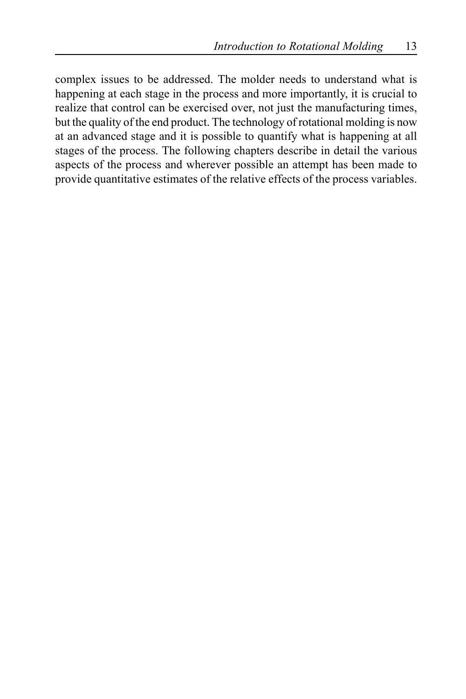complex issues to be addressed. The molder needs to understand what is happening at each stage in the process and more importantly, it is crucial to realize that control can be exercised over, not just the manufacturing times, but the quality of the end product. The technology of rotational molding is now at an advanced stage and it is possible to quantify what is happening at all stages of the process. The following chapters describe in detail the various aspects of the process and wherever possible an attempt has been made to provide quantitative estimates of the relative effects of the process variables.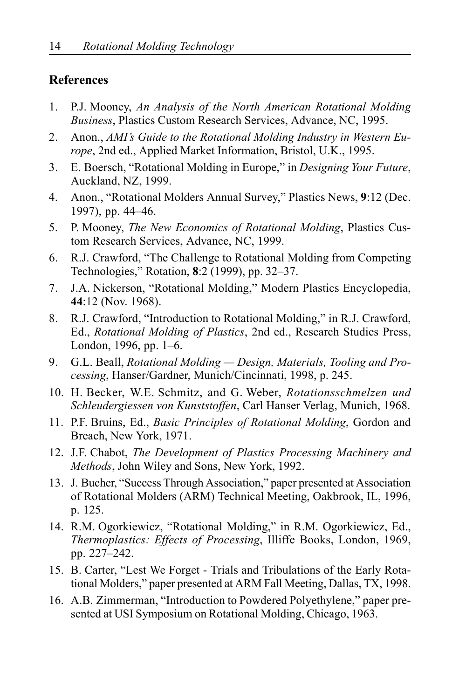#### **References**

- 1. P.J. Mooney, *An Analysis of the North American Rotational Molding Business*, Plastics Custom Research Services, Advance, NC, 1995.
- 2. Anon., *AMIís Guide to the Rotational Molding Industry in Western Europe*, 2nd ed., Applied Market Information, Bristol, U.K., 1995.
- 3. E. Boersch, "Rotational Molding in Europe," in *Designing Your Future*, Auckland, NZ, 1999.
- 4. Anon., "Rotational Molders Annual Survey," Plastics News, 9:12 (Dec.  $1997$ , pp.  $44–46$ .
- 5. P. Mooney, *The New Economics of Rotational Molding*, Plastics Custom Research Services, Advance, NC, 1999.
- 6. R.J. Crawford, "The Challenge to Rotational Molding from Competing Technologies," Rotation, **8**:2 (1999), pp. 32–37.
- 7. J.A. Nickerson, "Rotational Molding," Modern Plastics Encyclopedia, **44**:12 (Nov. 1968).
- 8. R.J. Crawford, "Introduction to Rotational Molding," in R.J. Crawford, Ed., *Rotational Molding of Plastics*, 2nd ed., Research Studies Press, London, 1996, pp.  $1–6$ .
- 9. G.L. Beall, *Rotational Molding Design, Materials, Tooling and Processing*, Hanser/Gardner, Munich/Cincinnati, 1998, p. 245.
- 10. H. Becker, W.E. Schmitz, and G. Weber, *Rotationsschmelzen und Schleudergiessen von Kunststoffen*, Carl Hanser Verlag, Munich, 1968.
- 11. P.F. Bruins, Ed., *Basic Principles of Rotational Molding*, Gordon and Breach, New York, 1971.
- 12. J.F. Chabot, *The Development of Plastics Processing Machinery and Methods*, John Wiley and Sons, New York, 1992.
- 13. J. Bucher, "Success Through Association," paper presented at Association of Rotational Molders (ARM) Technical Meeting, Oakbrook, IL, 1996, p. 125.
- 14. R.M. Ogorkiewicz, "Rotational Molding," in R.M. Ogorkiewicz, Ed., *Thermoplastics: Effects of Processing*, Illiffe Books, London, 1969, pp. 227-242.
- 15. B. Carter, "Lest We Forget Trials and Tribulations of the Early Rotational Molders," paper presented at ARM Fall Meeting, Dallas, TX, 1998.
- 16. A.B. Zimmerman, "Introduction to Powdered Polyethylene," paper presented at USI Symposium on Rotational Molding, Chicago, 1963.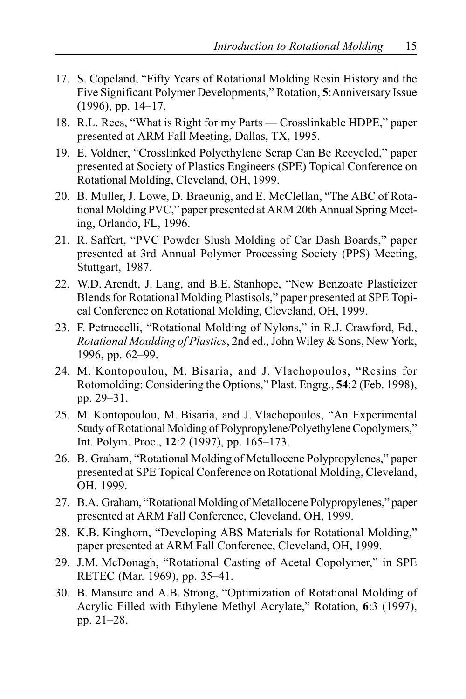- 17. S. Copeland, "Fifty Years of Rotational Molding Resin History and the Five Significant Polymer Developments,î Rotation, **5**:Anniversary Issue  $(1996)$ , pp.  $14–17$ .
- 18. R.L. Rees, "What is Right for my Parts Crosslinkable HDPE," paper presented at ARM Fall Meeting, Dallas, TX, 1995.
- 19. E. Voldner, "Crosslinked Polyethylene Scrap Can Be Recycled," paper presented at Society of Plastics Engineers (SPE) Topical Conference on Rotational Molding, Cleveland, OH, 1999.
- 20. B. Muller, J. Lowe, D. Braeunig, and E. McClellan, "The ABC of Rotational Molding PVC," paper presented at ARM 20th Annual Spring Meeting, Orlando, FL, 1996.
- 21. R. Saffert, "PVC Powder Slush Molding of Car Dash Boards," paper presented at 3rd Annual Polymer Processing Society (PPS) Meeting, Stuttgart, 1987.
- 22. W.D. Arendt, J. Lang, and B.E. Stanhope, "New Benzoate Plasticizer Blends for Rotational Molding Plastisols," paper presented at SPE Topical Conference on Rotational Molding, Cleveland, OH, 1999.
- 23. F. Petruccelli, "Rotational Molding of Nylons," in R.J. Crawford, Ed., *Rotational Moulding of Plastics*, 2nd ed., John Wiley & Sons, New York, 1996, pp. 62-99.
- 24. M. Kontopoulou, M. Bisaria, and J. Vlachopoulos, "Resins for Rotomolding: Considering the Options," Plast. Engrg., **54**:2 (Feb. 1998), pp. 29–31.
- 25. M. Kontopoulou, M. Bisaria, and J. Vlachopoulos, "An Experimental Study of Rotational Molding of Polypropylene/Polyethylene Copolymers," Int. Polym. Proc., 12:2 (1997), pp. 165–173.
- 26. B. Graham, "Rotational Molding of Metallocene Polypropylenes," paper presented at SPE Topical Conference on Rotational Molding, Cleveland, OH, 1999.
- 27. B.A. Graham, "Rotational Molding of Metallocene Polypropylenes," paper presented at ARM Fall Conference, Cleveland, OH, 1999.
- 28. K.B. Kinghorn, "Developing ABS Materials for Rotational Molding," paper presented at ARM Fall Conference, Cleveland, OH, 1999.
- 29. J.M. McDonagh, "Rotational Casting of Acetal Copolymer," in SPE RETEC (Mar. 1969), pp. 35–41.
- 30. B. Mansure and A.B. Strong, "Optimization of Rotational Molding of Acrylic Filled with Ethylene Methyl Acrylate," Rotation, 6:3 (1997), pp. 21-28.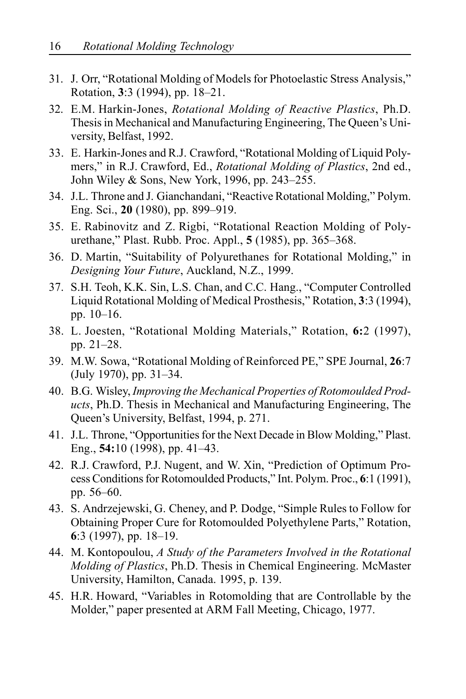- 31. J. Orr, "Rotational Molding of Models for Photoelastic Stress Analysis," Rotation, 3:3 (1994), pp. 18–21.
- 32. E.M. Harkin-Jones, *Rotational Molding of Reactive Plastics*, Ph.D. Thesis in Mechanical and Manufacturing Engineering, The Queen's University, Belfast, 1992.
- 33. E. Harkin-Jones and R.J. Crawford, "Rotational Molding of Liquid Polymers," in R.J. Crawford, Ed., *Rotational Molding of Plastics*, 2nd ed., John Wiley & Sons, New York, 1996, pp.  $243-255$ .
- 34. J.L. Throne and J. Gianchandani, "Reactive Rotational Molding," Polym. Eng. Sci., 20 (1980), pp. 899-919.
- 35. E. Rabinovitz and Z. Rigbi, "Rotational Reaction Molding of Polyurethane," Plast. Rubb. Proc. Appl., **5** (1985), pp. 365–368.
- 36. D. Martin, "Suitability of Polyurethanes for Rotational Molding," in *Designing Your Future*, Auckland, N.Z., 1999.
- 37. S.H. Teoh, K.K. Sin, L.S. Chan, and C.C. Hang., "Computer Controlled Liquid Rotational Molding of Medical Prosthesis," Rotation, 3:3 (1994), pp. 10-16.
- 38. L. Joesten, "Rotational Molding Materials," Rotation, 6:2 (1997), pp.  $21-28$ .
- 39. M.W. Sowa, "Rotational Molding of Reinforced PE," SPE Journal, 26:7  $(July 1970), pp. 31–34.$
- 40. B.G. Wisley, *Improving the Mechanical Properties of Rotomoulded Products*, Ph.D. Thesis in Mechanical and Manufacturing Engineering, The Queen's University, Belfast, 1994, p. 271.
- 41. J.L. Throne, "Opportunities for the Next Decade in Blow Molding," Plast. Eng., 54:10 (1998), pp. 41–43.
- 42. R.J. Crawford, P.J. Nugent, and W. Xin, "Prediction of Optimum Process Conditions for Rotomoulded Products,î Int. Polym. Proc., **6**:1 (1991), pp. 56–60.
- 43. S. Andrzejewski, G. Cheney, and P. Dodge, "Simple Rules to Follow for Obtaining Proper Cure for Rotomoulded Polyethylene Parts," Rotation, **6**:3 (1997), pp. 18–19.
- 44. M. Kontopoulou, *A Study of the Parameters Involved in the Rotational Molding of Plastics*, Ph.D. Thesis in Chemical Engineering. McMaster University, Hamilton, Canada. 1995, p. 139.
- 45. H.R. Howard, "Variables in Rotomolding that are Controllable by the Molder," paper presented at ARM Fall Meeting, Chicago, 1977.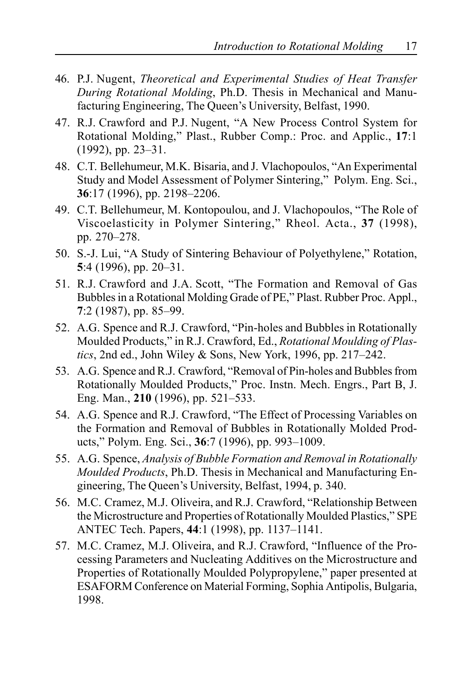- 46. P.J. Nugent, *Theoretical and Experimental Studies of Heat Transfer During Rotational Molding*, Ph.D. Thesis in Mechanical and Manufacturing Engineering, The Queen's University, Belfast, 1990.
- 47. R.J. Crawford and P.J. Nugent, "A New Process Control System for Rotational Molding,î Plast., Rubber Comp.: Proc. and Applic., **17**:1  $(1992)$ , pp. 23-31.
- 48. C.T. Bellehumeur, M.K. Bisaria, and J. Vlachopoulos, "An Experimental Study and Model Assessment of Polymer Sintering," Polym. Eng. Sci., **36**:17 (1996), pp. 2198–2206.
- 49. C.T. Bellehumeur, M. Kontopoulou, and J. Vlachopoulos, "The Role of Viscoelasticity in Polymer Sintering," Rheol. Acta., 37 (1998), pp. 270-278.
- 50. S.-J. Lui, "A Study of Sintering Behaviour of Polyethylene," Rotation,  $5:4$  (1996), pp. 20–31.
- 51. R.J. Crawford and J.A. Scott, "The Formation and Removal of Gas Bubbles in a Rotational Molding Grade of PE," Plast. Rubber Proc. Appl., 7:2 (1987), pp. 85–99.
- 52. A.G. Spence and R.J. Crawford, "Pin-holes and Bubbles in Rotationally Moulded Products," in R.J. Crawford, Ed., *Rotational Moulding of Plastics*, 2nd ed., John Wiley & Sons, New York, 1996, pp.  $217-242$ .
- 53. A.G. Spence and R.J. Crawford, "Removal of Pin-holes and Bubbles from Rotationally Moulded Products," Proc. Instn. Mech. Engrs., Part B, J. Eng. Man., 210 (1996), pp. 521–533.
- 54. A.G. Spence and R.J. Crawford, "The Effect of Processing Variables on the Formation and Removal of Bubbles in Rotationally Molded Products," Polym. Eng. Sci., 36:7 (1996), pp. 993-1009.
- 55. A.G. Spence, *Analysis of Bubble Formation and Removal in Rotationally Moulded Products*, Ph.D. Thesis in Mechanical and Manufacturing Engineering, The Queen's University, Belfast, 1994, p. 340.
- 56. M.C. Cramez, M.J. Oliveira, and R.J. Crawford, "Relationship Between the Microstructure and Properties of Rotationally Moulded Plastics," SPE ANTEC Tech. Papers, 44:1 (1998), pp. 1137–1141.
- 57. M.C. Cramez, M.J. Oliveira, and R.J. Crawford, "Influence of the Processing Parameters and Nucleating Additives on the Microstructure and Properties of Rotationally Moulded Polypropylene," paper presented at ESAFORM Conference on Material Forming, Sophia Antipolis, Bulgaria, 1998.